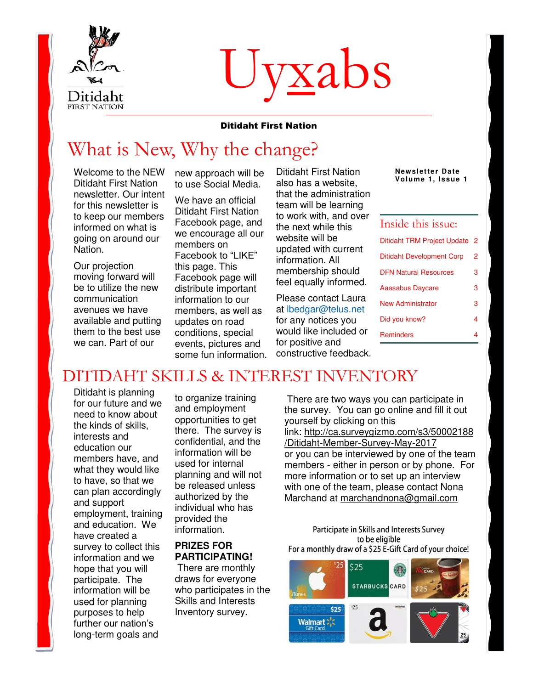

# Uyxabs

#### Ditidaht First Nation

# What is New, Why the change?

Welcome to the NEW Ditidaht First Nation newsletter. Our intent for this newsletter is to keep our members informed on what is going on around our Nation.

Our projection moving forward will be to utilize the new communication avenues we have available and putting them to the best use we can. Part of our

new approach will be to use Social Media.

We have an official Ditidaht First Nation Facebook page, and we encourage all our members on Facebook to "LIKE" this page. This Facebook page will distribute important information to our members, as well as updates on road conditions, special events, pictures and some fun information.

Ditidaht First Nation also has a website, that the administration team will be learning to work with, and over the next while this website will be updated with current information. All membership should feel equally informed.

Please contact Laura at [lbedgar@telus.net](mailto:lbedgar@telus.net) for any notices you would like included or for positive and constructive feedback. **Newsletter Date Volume 1, Issue 1** 

| Inside this issue:                 |   |
|------------------------------------|---|
| <b>Ditidaht TRM Project Update</b> | 2 |
| <b>Ditidaht Development Corp</b>   | 2 |
| <b>DFN Natural Resources</b>       | 3 |
| <b>Aaasabus Daycare</b>            | 3 |
| New Administrator                  | з |
| Did you know?                      | 4 |
| <b>Reminders</b>                   |   |

#### DITIDAHT SKILLS & INTEREST INVENTORY

Ditidaht is planning for our future and we need to know about the kinds of skills, interests and education our members have, and what they would like to have, so that we can plan accordingly and support employment, training and education. We have created a survey to collect this information and we hope that you will participate. The information will be used for planning purposes to help further our nation's long-term goals and

to organize training and employment opportunities to get there. The survey is confidential, and the information will be used for internal planning and will not be released unless authorized by the individual who has provided the information.

#### **PRIZES FOR PARTICIPATING!**

 There are monthly draws for everyone who participates in the Skills and Interests Inventory survey.

 There are two ways you can participate in the survey. You can go online and fill it out yourself by clicking on this link: [http://ca.surveygizmo.com/s3/50002188](http://ca.surveygizmo.com/s3/50002188/Ditidaht-Member-Survey-May-2017) [/Ditidaht-Member-Survey-May-2017](http://ca.surveygizmo.com/s3/50002188/Ditidaht-Member-Survey-May-2017) or you can be interviewed by one of the team members - either in person or by phone. For more information or to set up an interview with one of the team, please contact Nona Marchand at [marchandnona@gmail.com](mailto:marchandnona@gmail.com) 

Participate in Skills and Interests Survey to be eligible For a monthly draw of a \$25 E-Gift Card of your choice!

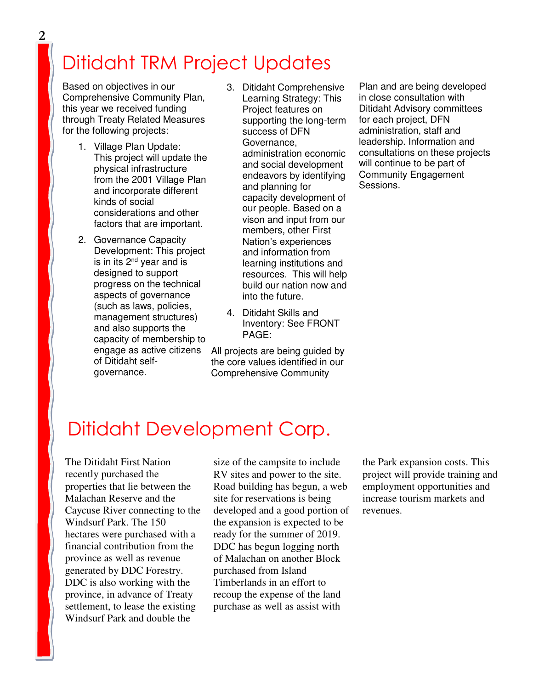# Ditidaht TRM Project Updates

Based on objectives in our Comprehensive Community Plan, this year we received funding through Treaty Related Measures for the following projects:

- 1. Village Plan Update: This project will update the physical infrastructure from the 2001 Village Plan and incorporate different kinds of social considerations and other factors that are important.
- 2. Governance Capacity Development: This project is in its  $2<sup>nd</sup>$  year and is designed to support progress on the technical aspects of governance (such as laws, policies, management structures) and also supports the capacity of membership to engage as active citizens of Ditidaht selfgovernance.
- 3. Ditidaht Comprehensive Learning Strategy: This Project features on supporting the long-term success of DFN Governance, administration economic and social development endeavors by identifying and planning for capacity development of our people. Based on a vison and input from our members, other First Nation's experiences and information from learning institutions and resources. This will help build our nation now and into the future.
- 4. Ditidaht Skills and Inventory: See FRONT PAGE:

All projects are being guided by the core values identified in our Comprehensive Community

Plan and are being developed in close consultation with Ditidaht Advisory committees for each project, DFN administration, staff and leadership. Information and consultations on these projects will continue to be part of Community Engagement Sessions.

## Ditidaht Development Corp.

The Ditidaht First Nation recently purchased the properties that lie between the Malachan Reserve and the Caycuse River connecting to the Windsurf Park. The 150 hectares were purchased with a financial contribution from the province as well as revenue generated by DDC Forestry. DDC is also working with the province, in advance of Treaty settlement, to lease the existing Windsurf Park and double the

size of the campsite to include RV sites and power to the site. Road building has begun, a web site for reservations is being developed and a good portion of the expansion is expected to be ready for the summer of 2019. DDC has begun logging north of Malachan on another Block purchased from Island Timberlands in an effort to recoup the expense of the land purchase as well as assist with

the Park expansion costs. This project will provide training and employment opportunities and increase tourism markets and revenues.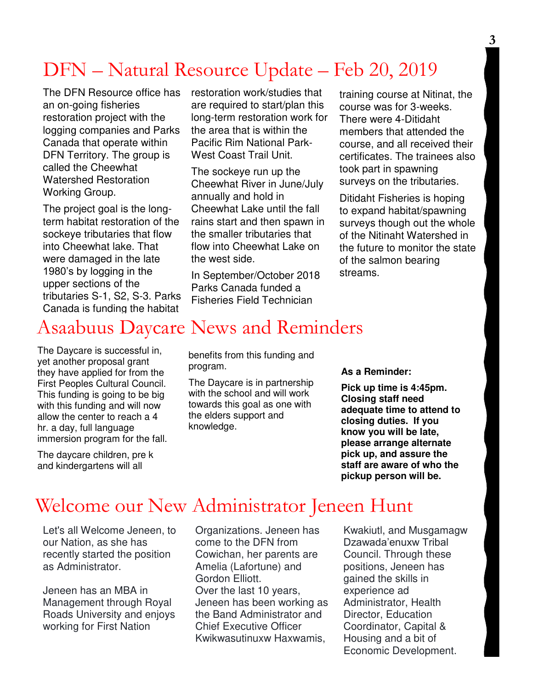## DFN – Natural Resource Update – Feb 20, 2019

The DFN Resource office has an on-going fisheries restoration project with the logging companies and Parks Canada that operate within DFN Territory. The group is called the Cheewhat Watershed Restoration Working Group.

The project goal is the longterm habitat restoration of the sockeye tributaries that flow into Cheewhat lake. That were damaged in the late 1980's by logging in the upper sections of the tributaries S-1, S2, S-3. Parks Canada is funding the habitat

restoration work/studies that are required to start/plan this long-term restoration work for the area that is within the Pacific Rim National Park-West Coast Trail Unit.

The sockeye run up the Cheewhat River in June/July annually and hold in Cheewhat Lake until the fall rains start and then spawn in the smaller tributaries that flow into Cheewhat Lake on the west side.

In September/October 2018 Parks Canada funded a Fisheries Field Technician

training course at Nitinat, the course was for 3-weeks. There were 4-Ditidaht members that attended the course, and all received their certificates. The trainees also took part in spawning surveys on the tributaries.

Ditidaht Fisheries is hoping to expand habitat/spawning surveys though out the whole of the Nitinaht Watershed in the future to monitor the state of the salmon bearing streams.

## Asaabuus Daycare News and Reminders

The Daycare is successful in, yet another proposal grant they have applied for from the First Peoples Cultural Council. This funding is going to be big with this funding and will now allow the center to reach a 4 hr. a day, full language immersion program for the fall.

The daycare children, pre k and kindergartens will all

benefits from this funding and program.

The Daycare is in partnership with the school and will work towards this goal as one with the elders support and knowledge.

**As a Reminder:** 

**Pick up time is 4:45pm. Closing staff need adequate time to attend to closing duties. If you know you will be late, please arrange alternate pick up, and assure the staff are aware of who the pickup person will be.** 

### Welcome our New Administrator Jeneen Hunt

Let's all Welcome Jeneen, to our Nation, as she has recently started the position as Administrator.

Jeneen has an MBA in Management through Royal Roads University and enjoys working for First Nation

Organizations. Jeneen has come to the DFN from Cowichan, her parents are Amelia (Lafortune) and Gordon Elliott. Over the last 10 years, Jeneen has been working as the Band Administrator and Chief Executive Officer Kwikwasutinuxw Haxwamis,

Kwakiutl, and Musgamagw Dzawada'enuxw Tribal Council. Through these positions, Jeneen has gained the skills in experience ad Administrator, Health Director, Education Coordinator, Capital & Housing and a bit of Economic Development.